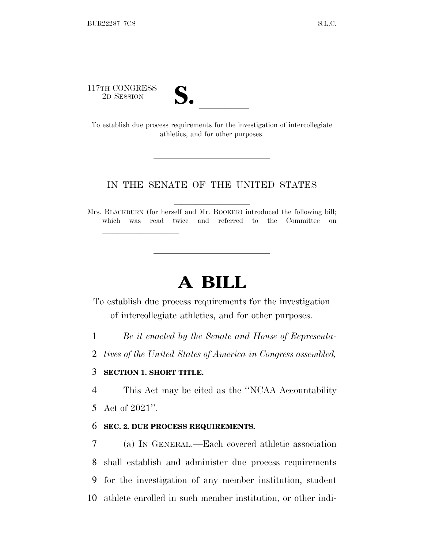117TH CONGRESS



17TH CONGRESS<br>
2D SESSION<br>
To establish due process requirements for the investigation of intercollegiate athletics, and for other purposes.

# IN THE SENATE OF THE UNITED STATES

Mrs. BLACKBURN (for herself and Mr. BOOKER) introduced the following bill; which was read twice and referred to the Committee on

# **A BILL**

To establish due process requirements for the investigation of intercollegiate athletics, and for other purposes.

1 *Be it enacted by the Senate and House of Representa-*

2 *tives of the United States of America in Congress assembled,*

# 3 **SECTION 1. SHORT TITLE.**

lla se al constituit de la constituit de la constituit de la constituit de la constituit de la constituit de l<br>La constituit de la constituit de la constituit de la constituit de la constituit de la constituit de la const

4 This Act may be cited as the ''NCAA Accountability

5 Act of 2021''.

## 6 **SEC. 2. DUE PROCESS REQUIREMENTS.**

 (a) I<sup>N</sup> GENERAL.—Each covered athletic association shall establish and administer due process requirements for the investigation of any member institution, student athlete enrolled in such member institution, or other indi-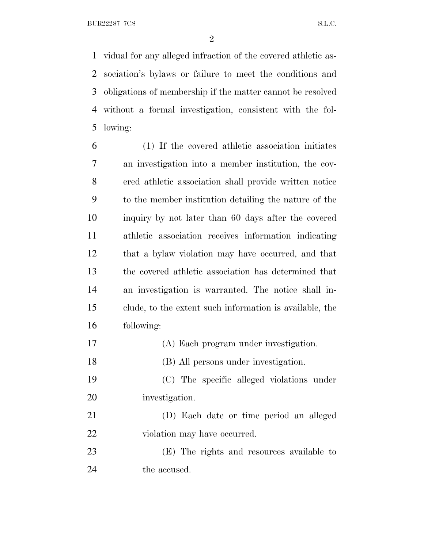vidual for any alleged infraction of the covered athletic as- sociation's bylaws or failure to meet the conditions and obligations of membership if the matter cannot be resolved without a formal investigation, consistent with the fol-lowing:

 (1) If the covered athletic association initiates an investigation into a member institution, the cov- ered athletic association shall provide written notice to the member institution detailing the nature of the inquiry by not later than 60 days after the covered athletic association receives information indicating that a bylaw violation may have occurred, and that the covered athletic association has determined that an investigation is warranted. The notice shall in- clude, to the extent such information is available, the following:

- (A) Each program under investigation.
- (B) All persons under investigation.

 (C) The specific alleged violations under investigation.

 (D) Each date or time period an alleged 22 violation may have occurred.

 (E) The rights and resources available to the accused.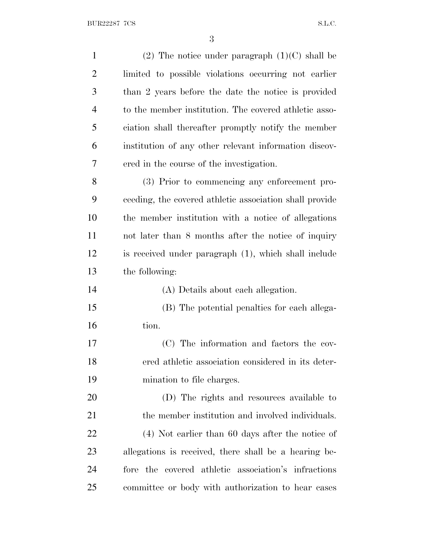BUR22287 7CS S.L.C.

| $\mathbf{1}$   | (2) The notice under paragraph $(1)(C)$ shall be        |
|----------------|---------------------------------------------------------|
| $\overline{2}$ | limited to possible violations occurring not earlier    |
| 3              | than 2 years before the date the notice is provided     |
| $\overline{4}$ | to the member institution. The covered athletic asso-   |
| 5              | ciation shall thereafter promptly notify the member     |
| 6              | institution of any other relevant information discov-   |
| 7              | ered in the course of the investigation.                |
| 8              | (3) Prior to commencing any enforcement pro-            |
| 9              | ceeding, the covered athletic association shall provide |
| 10             | the member institution with a notice of allegations     |
| 11             | not later than 8 months after the notice of inquiry     |
| 12             | is received under paragraph (1), which shall include    |
| 13             | the following:                                          |
| 14             | (A) Details about each allegation.                      |
| 15             | (B) The potential penalties for each allega-            |
| 16             | tion.                                                   |
| 17             | (C) The information and factors the cov-                |
| 18             | ered athletic association considered in its deter-      |
| 19             | mination to file charges.                               |
| 20             | (D) The rights and resources available to               |
| 21             | the member institution and involved individuals.        |
| <u>22</u>      | $(4)$ Not earlier than 60 days after the notice of      |
| 23             | allegations is received, there shall be a hearing be-   |
| 24             | fore the covered athletic association's infractions     |
| 25             | committee or body with authorization to hear cases      |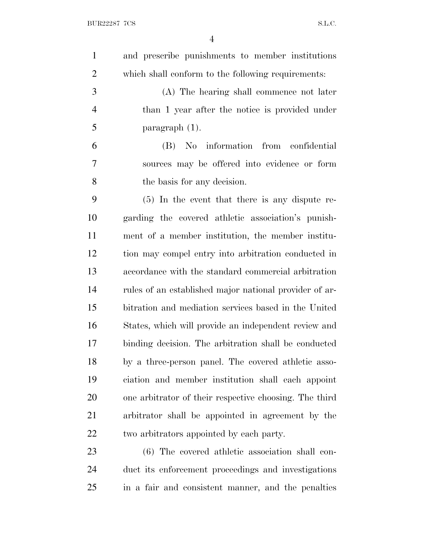and prescribe punishments to member institutions which shall conform to the following requirements: (A) The hearing shall commence not later than 1 year after the notice is provided under paragraph  $(1)$ . (B) No information from confidential sources may be offered into evidence or form the basis for any decision. (5) In the event that there is any dispute re- garding the covered athletic association's punish- ment of a member institution, the member institu- tion may compel entry into arbitration conducted in accordance with the standard commercial arbitration rules of an established major national provider of ar- bitration and mediation services based in the United States, which will provide an independent review and binding decision. The arbitration shall be conducted by a three-person panel. The covered athletic asso- ciation and member institution shall each appoint one arbitrator of their respective choosing. The third arbitrator shall be appointed in agreement by the two arbitrators appointed by each party. (6) The covered athletic association shall con-duct its enforcement proceedings and investigations

in a fair and consistent manner, and the penalties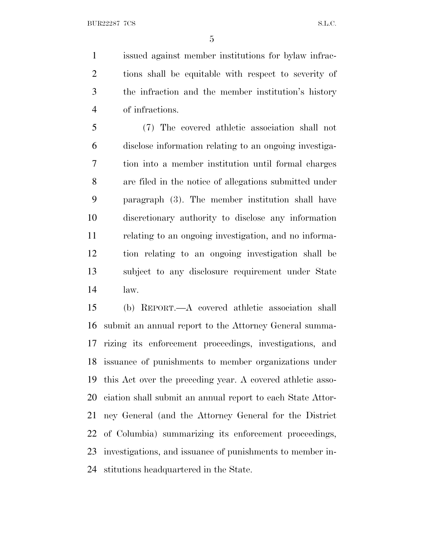issued against member institutions for bylaw infrac- tions shall be equitable with respect to severity of the infraction and the member institution's history of infractions.

 (7) The covered athletic association shall not disclose information relating to an ongoing investiga- tion into a member institution until formal charges are filed in the notice of allegations submitted under paragraph (3). The member institution shall have discretionary authority to disclose any information relating to an ongoing investigation, and no informa- tion relating to an ongoing investigation shall be subject to any disclosure requirement under State law.

 (b) REPORT.—A covered athletic association shall submit an annual report to the Attorney General summa- rizing its enforcement proceedings, investigations, and issuance of punishments to member organizations under this Act over the preceding year. A covered athletic asso- ciation shall submit an annual report to each State Attor- ney General (and the Attorney General for the District of Columbia) summarizing its enforcement proceedings, investigations, and issuance of punishments to member in-stitutions headquartered in the State.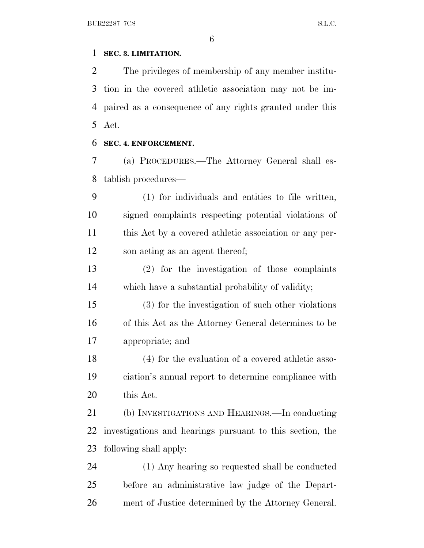## **SEC. 3. LIMITATION.**

 The privileges of membership of any member institu- tion in the covered athletic association may not be im- paired as a consequence of any rights granted under this Act.

#### **SEC. 4. ENFORCEMENT.**

 (a) PROCEDURES.—The Attorney General shall es-tablish procedures—

 (1) for individuals and entities to file written, signed complaints respecting potential violations of this Act by a covered athletic association or any per-son acting as an agent thereof;

 (2) for the investigation of those complaints which have a substantial probability of validity;

 (3) for the investigation of such other violations of this Act as the Attorney General determines to be appropriate; and

 (4) for the evaluation of a covered athletic asso- ciation's annual report to determine compliance with this Act.

 (b) INVESTIGATIONS AND HEARINGS.—In conducting investigations and hearings pursuant to this section, the following shall apply:

 (1) Any hearing so requested shall be conducted before an administrative law judge of the Depart-ment of Justice determined by the Attorney General.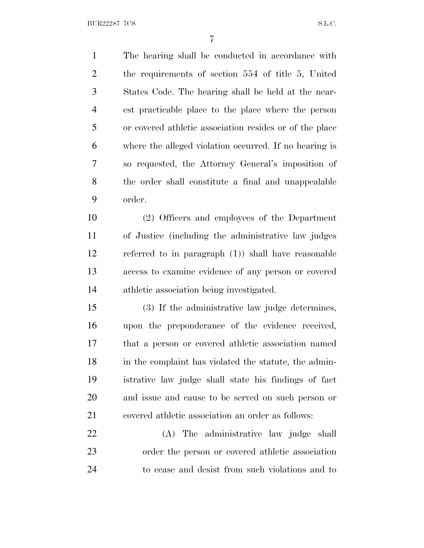BUR22287 7CS S.L.C.

 The hearing shall be conducted in accordance with the requirements of section 554 of title 5, United States Code. The hearing shall be held at the near- est practicable place to the place where the person or covered athletic association resides or of the place where the alleged violation occurred. If no hearing is so requested, the Attorney General's imposition of the order shall constitute a final and unappealable order. (2) Officers and employees of the Department

 of Justice (including the administrative law judges referred to in paragraph (1)) shall have reasonable access to examine evidence of any person or covered athletic association being investigated.

 (3) If the administrative law judge determines, upon the preponderance of the evidence received, that a person or covered athletic association named in the complaint has violated the statute, the admin- istrative law judge shall state his findings of fact and issue and cause to be served on such person or covered athletic association an order as follows:

 (A) The administrative law judge shall order the person or covered athletic association to cease and desist from such violations and to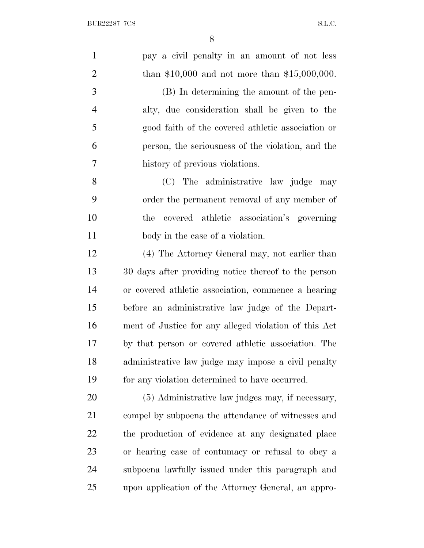| $\mathbf{1}$   | pay a civil penalty in an amount of not less          |
|----------------|-------------------------------------------------------|
| $\overline{2}$ | than \$10,000 and not more than \$15,000,000.         |
| 3              | (B) In determining the amount of the pen-             |
| $\overline{4}$ | alty, due consideration shall be given to the         |
| 5              | good faith of the covered athletic association or     |
| 6              | person, the seriousness of the violation, and the     |
| 7              | history of previous violations.                       |
| 8              | (C) The administrative law judge may                  |
| 9              | order the permanent removal of any member of          |
| 10             | covered athletic association's governing<br>the       |
| 11             | body in the case of a violation.                      |
| 12             | (4) The Attorney General may, not earlier than        |
| 13             | 30 days after providing notice thereof to the person  |
| 14             | or covered athletic association, commence a hearing   |
| 15             | before an administrative law judge of the Depart-     |
| 16             | ment of Justice for any alleged violation of this Act |
| 17             | by that person or covered athletic association. The   |
| 18             | administrative law judge may impose a civil penalty   |
| 19             | for any violation determined to have occurred.        |
| 20             | (5) Administrative law judges may, if necessary,      |
| 21             | compel by subpoena the attendance of witnesses and    |
| 22             | the production of evidence at any designated place    |
| 23             | or hearing case of contumacy or refusal to obey a     |
| 24             | subpoena lawfully issued under this paragraph and     |
| 25             | upon application of the Attorney General, an appro-   |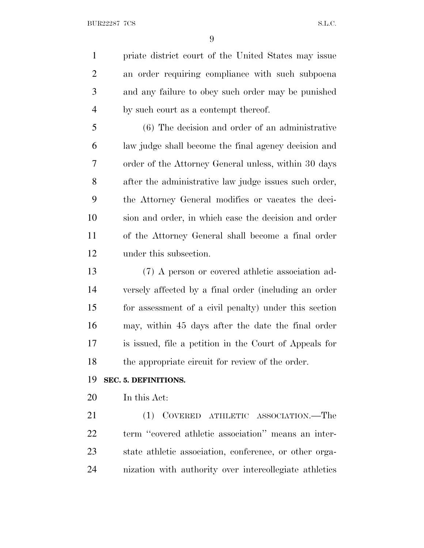priate district court of the United States may issue an order requiring compliance with such subpoena and any failure to obey such order may be punished by such court as a contempt thereof.

 (6) The decision and order of an administrative law judge shall become the final agency decision and order of the Attorney General unless, within 30 days after the administrative law judge issues such order, the Attorney General modifies or vacates the deci- sion and order, in which case the decision and order of the Attorney General shall become a final order under this subsection.

 (7) A person or covered athletic association ad- versely affected by a final order (including an order for assessment of a civil penalty) under this section may, within 45 days after the date the final order is issued, file a petition in the Court of Appeals for the appropriate circuit for review of the order.

#### **SEC. 5. DEFINITIONS.**

In this Act:

 (1) COVERED ATHLETIC ASSOCIATION.—The term ''covered athletic association'' means an inter- state athletic association, conference, or other orga-nization with authority over intercollegiate athletics